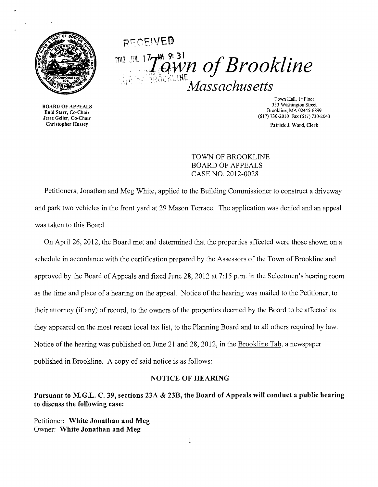

# pr:: CE'VEO 7012 JUL 17 7 9: 31<br> *Massachusetts Massachusetts*

**BOARD OF APPEALS** Find Start, Co-Chair<br>
Jesse Geller, Co-Chair<br>
Christopher Hussey Patrick J. Ward. Clerk<br>
Patrick J. Ward. Clerk

Town Hall, 1<sup>st</sup> Floor<br>333 Washington Street Brookline, MA 02445-6899 Enid Starr, Co-Chair

Patrick J. Ward, Clerk

TOWN OF BROOKLINE BOARD OF APPEALS CASE NO. 2012-0028

Petitioners, Jonathan and Meg White, applied to the Building Commissioner to construct a driveway and park two vehicles in the front yard at 29 Mason Terrace. The application was denied and an appeal was taken to this Board.

On April 26, 2012, the Board met and determined that the properties affected were those shown on a schedule in accordance with the certification prepared by the Assessors of the Town of Brookline and approved by the Board of Appeals and fixed June 28,2012 at 7:15 p.m. in the Selectmen's hearing room as the time and place of a hearing on the appeal. Notice of the hearing was mailed to the Petitioner, to their attorney (if any) of record, to the owners of the properties deemed by the Board to be affected as they appeared on the most recent local tax list, to the Planning Board and to all others required by law. Notice of the hearing was published on June 21 and 28, 2012, in the Brookline Tab, a newspaper published in Brookline. A copy of said notice is as follows:

#### NOTICE OF HEARING

Pursuant to M.G.L. C. 39, sections 23A & 23B, the Board of Appeals will conduct a public hearing to discuss the following case:

Petitioner: White Jonathan and Meg Owner: White Jonathan and Meg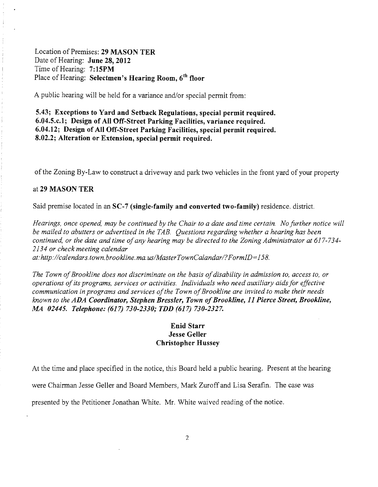Location of Premises: 29 MASON TER Date of Hearing: June 28, 2012 Time of Hearing: 7: 15PM Place of Hearing: Selectmen's Hearing Room, 6<sup>th</sup> floor

A public hearing will be held for a variance and/or special permit from:

5.43; Exceptions to Yard and Setback Regulations, special permit required. 6.04.5.c.1; Design of All Off-Street Parking Facilities, variance required. 6.04.12; Design of All Off-Street Parking Facilities, special permit required. 8.02.2; Alteration or Extension, special permit required.

of the Zoning By-Law to construct a driveway and park two vehicles in the front yard of your property

#### at 29 MASON TER

Said premise located in an SC-7 (single-family and converted two-family) residence. district.

*Hearings, once opened, may be continued by the Chair to a date and time certain. No further notice will be mailed to abutters or advertised in the TAB. Questions regarding whether a hearing has been continued, or the date and time ofany hearing may be directed to the Zoning Administrator at 617-734 2134 or check meeting calendar at:http://calendars. town. brookline. ma. uslMasterTownCalandarl?FormID= 158.* 

The Town of Brookline does not discriminate on the basis of disability in admission to, access to, or *operations ofits programs, services or activities. Individuals who need auxiliary aidsfor effective communication in programs and services ofthe Town ofBrookline are invited to make their needs known to the ADA Coordinator, Stephen Bressler, Town ofBrookline,* 11 *Pierce Street, Brookline, MA 02445. Telephone:* (617) *730-2330; TDD* (617) *730-2327.* 

## Enid Starr Jesse Geller Christopher Hussey

At the time and place specified in the notice, this Board held a public hearing. Present at the hearing were Chairman Jesse Geller and Board Members, Mark Zuroff and Lisa Serafin. The case was presented by the Petitioner Jonathan White. Mr. White waived reading of the notice.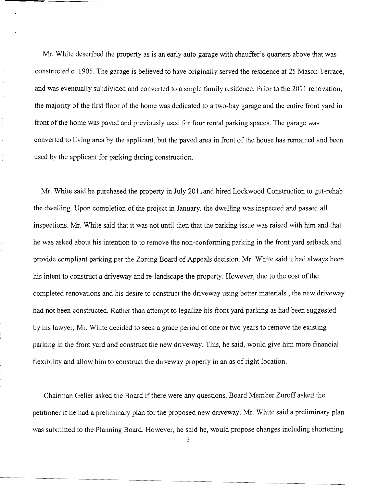Mr. White described the property as is an early auto garage with chauffer's quarters above that was constructed c. 1905. The garage is believed to have originally served the residence at 25 Mason Terrace, and was eventually subdivided and converted to a single family residence. Prior to the 2011 renovation, the majority of the first floor of the home was dedicated to a two-bay garage and the entire front yard in front of the home was paved and previously used for four rental parking spaces. The garage was converted to living area by the applicant, but the paved area in front of the house has remained and been used by the applicant for parking during construction.

Mr. White said he purchased the property in July 2011 and hired Lockwood Construction to gut-rehab the dwelling. Upon completion of the project in January, the dwelling was inspected and passed all inspections. Mr. White said that it was not until then that the parking issue was raised with him and that he was asked about his intention to to remove the non-conforming parking in the front yard setback and provide compliant parking per the Zoning Board of Appeals decision. Mr. White said it had always been his intent to construct a driveway and re-Iandscape the property. However, due to the cost ofthe completed renovations and his desire to construct the driveway using better materials, the new driveway had not been constructed. Rather than attempt to legalize his front yard parking as had been suggested by his lawyer, Mr. White decided to seek a grace period of one or two years to remove the existing parking in the front yard and construct the new driveway. This, he said, would give him more financial flexibility and allow him to construct the driveway properly in an as of right location.

Chairman Geller asked the Board if there were any questions. Board Member Zuroff asked the petitioner if he had a preliminary plan for the proposed new driveway. Mr. White said a preliminary plan was submitted to the Planning Board. However, he said he, would propose changes including shortening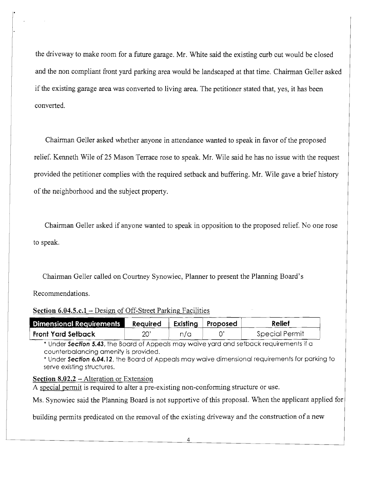the driveway to make room for a future garage. Mr. White said the existing curb cut would be closed and the non compliant front yard parking area would be landscaped at that time. Chairman Geller asked if the existing garage area was converted to living area. The petitioner stated that, yes, it has been converted.

Chairman Geller asked whether anyone in attendance wanted to speak in favor of the proposed relief. Kenneth Wile of 25 Mason Terrace rose to speak. Mr. Wile said he has no issue with the request provided the petitioner complies with the required setback and buffering. Mr. Wile gave a brief history of the neighborhood and the subject property.

Chairman Geller asked if anyone wanted to speak in opposition to the proposed relief. No one rose to speak.

Chairman Geller called on Courtney Synowiec, Planner to present the Planning Board's

Recommendations.

## Section 6.04.5.c.1 – Design of Off-Street Parking Facilities

| Dimensional Requirements Required   Existing   Proposed |    |     | Relief         |
|---------------------------------------------------------|----|-----|----------------|
| Front Yard Setback                                      | 20 | n/c | Special Permit |

\* Under Section 5.43, the Board of Appeals may waive yard and setback requirements if a counterbalancing amenity is provided.

\* Under Section 6.04.12, the Board of Appeals may waive dimensional requirements for parking to serve existing structures.

## Section 8.02.2 – Alteration or Extension

A special permit is required to alter a pre-existing non-conforming structure or use.

Ms. Synowiec said the Planning Board is not supportive of this proposal. When the applicant applied for |

building permits predicated on the removal of the existing driveway and the construction of a new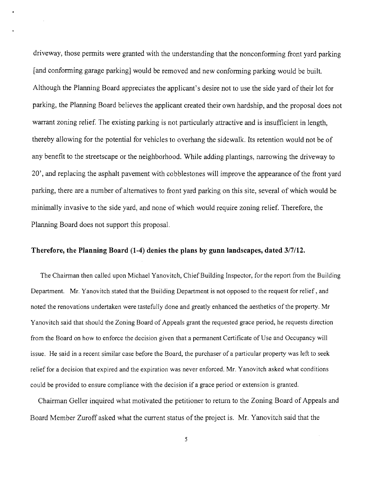driveway, those permits were granted with the understanding that the nonconforming front yard parking [and conforming garage parking] would be removed and new conforming parking would be built. Although the Planning Board appreciates the applicant's desire not to use the side yard of their lot for parking, the Planning Board believes the applicant created their own hardship, and the proposal does not warrant zoning relief. The existing parking is not particularly attractive and is insufficient in length, thereby allowing for the potential for vehicles to overhang the sidewalk. Its retention would not be of any benefit to the streetscape or the neighborhood. While adding plantings, narrowing the driveway to 20', and replacing the asphalt pavement with cobblestones will improve the appearance ofthe front yard parking, there are a number of alternatives to front yard parking on this site, several of which would be minimally invasive to the side yard, and none of which would require zoning relief. Therefore, the Planning Board does not support this proposal.

### **Therefore, the Planning Board (1-4) denies the plans by gunn landscapes, dated** 3/7/12.

The Chairman then called upon Michael Yanovitch, Chief Building Inspector, for the report from the Building Department. Mr. Yanovitch stated that the Building Department is not opposed to the request for relief, and noted the renovations undertaken were tastefully done and greatly enhanced the aesthetics of the property. Mr Yanovitch said that should the Zoning Board of Appeals grant the requested grace period, he requests direction from the Board on how to enforce the decision given that a pennanent Certificate of Use and Occupancy will issue. He said in a recent similar case before the Board, the purchaser of a particular property was left to seek relief for a decision that expired and the expiration was never enforced. Mr. Yanovitch asked what conditions could be provided to ensure compliance with the decision if a grace period or extension is granted.

Chairman Geller inquired what motivated the petitioner to return to the Zoning Board of Appeals and Board Member Zuroff asked what the current status of the project is. Mr. Yanovitch said that the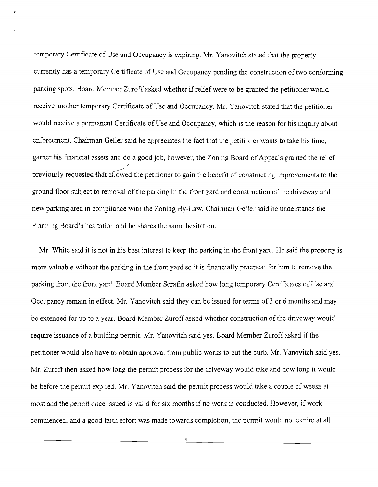temporary Certificate of Use and Occupancy is expiring. Mr. Yanovitch stated that the property currently has a temporary Certificate of Use and Occupancy pending the construction oftwo conforming parking spots. Board Member Zuroff asked whether if relief were to be granted the petitioner would receive another temporary Certificate of Use and Occupancy. Mr. Yanovitch stated that the petitioner would receive a permanent Certificate of Use and Occupancy, which is the reason for his inquiry about enforcement. Chairman Geller said he appreciates the fact that the petitioner wants to take his time, garner his financial assets and do a good job, however, the Zoning Board of Appeals granted the relief previously requested-that allowed the petitioner to gain the benefit of constructing improvements to the ground floor subject to removal of the parking in the front yard and construction of the driveway and new parking area in compliance with the Zoning By-Law. Chairman Geller said he understands the Planning Board's hesitation and he shares the same hesitation.

Mr. White said it is not in his best interest to keep the parking in the front yard. He said the property is more valuable without the parking in the front yard so it is financially practical for him to remove the parking from the front yard. Board Member Serafin asked how long temporary Certificates of Use and Occupancy remain in effect. Mr. Yanovitch said they can be issued for terms of 3 or 6 months and may be extended for up to a year. Board Member Zuroffasked whether construction of the driveway would require issuance of a building permit. Mr. Yanovitch said yes. Board Member Zuroff asked if the petitioner would also have to obtain approval from public works to cut the curb. Mr. Yanovitch said yes. Mr. Zuroff then asked how long the permit process for the driveway would take and how long it would be before the permit expired. Mr. Yanovitch said the permit process would take a couple of weeks at most and the permit once issued is valid for six months if no work is conducted. However, if work commenced, and a good faith effort was made towards completion, the permit would not expire at all.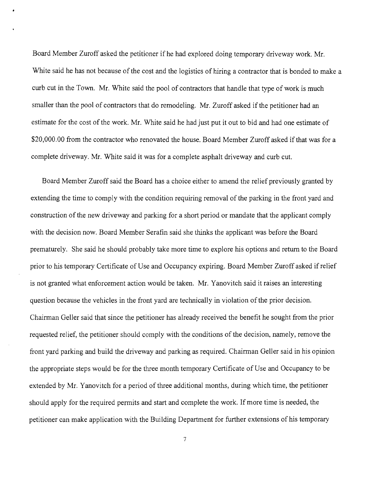Board Member Zuroff asked the petitioner if he had explored doing temporary driveway work. Mr. White said he has not because of the cost and the logistics of hiring a contractor that is bonded to make a curb cut in the Town. Mr. White said the pool of contractors that handle that type of work is much smaller than the pool of contractors that do remodeling. Mr. Zuroff asked if the petitioner had an estimate for the cost of the work. Mr. White said he had just put it out to bid and had one estimate of \$20,000.00 from the contractor who renovated the house. Board Member Zuroff asked if that was for a complete driveway. Mr. White said it was for a complete asphalt driveway and curb cut.

Board Member Zuroff said the Board has a choice either to amend the relief previously granted by extending the time to comply with the condition requiring removal of the parking in the front yard and construction of the new driveway and parking for a short period or mandate that the applicant comply with the decision now. Board Member Serafin said she thinks the applicant was before the Board prematurely. She said he should probably take more time to explore his options and return to the Board prior to his temporary Certificate of Use and Occupancy expiring. Board Member Zuroff asked if relief is not granted what enforcement action would be taken. Mr. Yanovitch said it raises an interesting question because the vehicles in the front yard are technically in violation ofthe prior decision. Chairman Geller said that since the petitioner has already received the benefit he sought from the prior requested relief, the petitioner should comply with the conditions of the decision, namely, remove the front yard parking and build the driveway and parking as required. Chairman Geller said in his opinion the appropriate steps would be for the three month temporary Certificate of Use and Occupancy to be extended by Mr. Yanovitch for a period of three additional months, during which time, the petitioner should apply for the required permits and start and complete the work. If more time is needed, the petitioner can make application with the Building Department for further extensions of his temporary